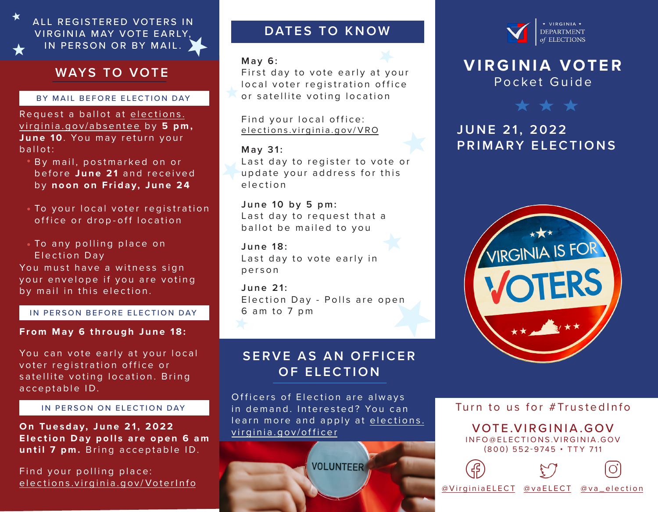

## **WAYS TO VOTE**

### BY MAIL BEFORE ELECTION DAY

Request a ballot at elections. virginia.gov/absentee by 5 pm, **June 10**. You may return your ballot:

- **By mail, postmarked on or** before June 21 and received by **noon on Friday, June 24**
- To your local voter registration office or drop-off location
- To any polling place on Election Day

You must have a witness sign your envelope if you are voting by mail in this election.

IN PERSON BEFORE ELECTION DAY

### **From May 6 through June 18:**

You can vote early at your local voter registration office or satellite voting location. Bring acceptable ID.

**On Tuesday, June 21, 2022 Election Day polls are open 6 am until 7 pm.** Bring acceptable ID.

Find your polling place: elections.virginia.gov/VoterInfo

## **DATES TO KNOW**

### **May 6:**

First day to vote early at your local voter registration office or satellite voting location

Find your local office: elections.virginia.gov/VRO

### **May 31:** Last day to register to vote or update your address for this election

**June 10 by 5 pm:** Last day to request that a ballot be mailed to you

**June 18:** Last day to vote early in person

**June 21:** Election Day - Polls are open 6 am to 7 pm

## **SERVE AS AN OFFICER OF ELECTION**

Officers of Election are always in demand, Interested? You can learn more and apply at elections. virginia.gov/officer IN PERSON ON ELECTION DAY  $\Box$  in demand Interested? You can Turn to us for #TrustedInfo

**VOLUNTEER** 



## **VIRGINIA VOTER** Pocket Guide



# **JUNE 21, 2022 PRIMARY ELECTIONS**



VOTE.VIRGINIA.GOV INFO@ELECTIONS.VIRGINIA.GOV (800) 552-9745 • TTY 711



@VirginiaELECT @vaELECT @va\_election